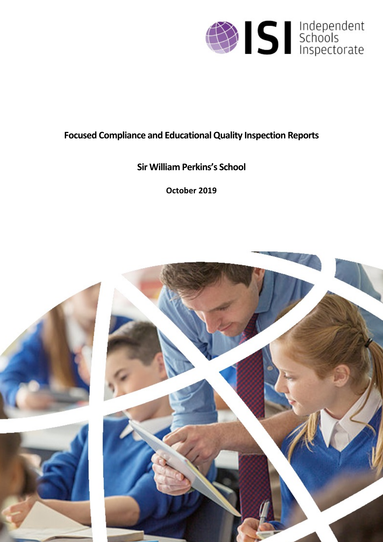

# **Focused Compliance and EducationalQuality Inspection Reports**

# **Sir William Perkins's School**

**October 2019**

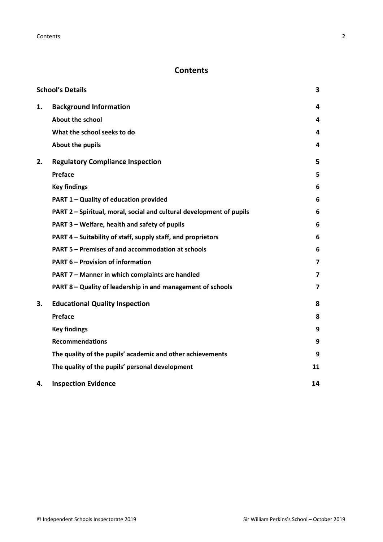# **Contents**

|    | <b>School's Details</b>                                              | 3                       |
|----|----------------------------------------------------------------------|-------------------------|
| 1. | <b>Background Information</b>                                        | 4                       |
|    | <b>About the school</b>                                              | 4                       |
|    | What the school seeks to do                                          | 4                       |
|    | <b>About the pupils</b>                                              | 4                       |
| 2. | <b>Regulatory Compliance Inspection</b>                              | 5                       |
|    | Preface                                                              | 5                       |
|    | <b>Key findings</b>                                                  | 6                       |
|    | PART 1 - Quality of education provided                               | 6                       |
|    | PART 2 - Spiritual, moral, social and cultural development of pupils | 6                       |
|    | PART 3 - Welfare, health and safety of pupils                        | 6                       |
|    | PART 4 – Suitability of staff, supply staff, and proprietors         | 6                       |
|    | <b>PART 5 - Premises of and accommodation at schools</b>             | 6                       |
|    | <b>PART 6 - Provision of information</b>                             | $\overline{\mathbf{z}}$ |
|    | PART 7 - Manner in which complaints are handled                      | 7                       |
|    | PART 8 - Quality of leadership in and management of schools          | 7                       |
| 3. | <b>Educational Quality Inspection</b>                                | 8                       |
|    | <b>Preface</b>                                                       | 8                       |
|    | <b>Key findings</b>                                                  | 9                       |
|    | <b>Recommendations</b>                                               | 9                       |
|    | The quality of the pupils' academic and other achievements           | 9                       |
|    | The quality of the pupils' personal development                      | 11                      |
| 4. | <b>Inspection Evidence</b>                                           | 14                      |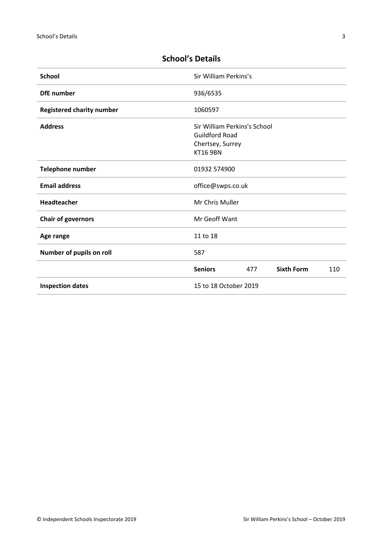| <b>School</b>                    | Sir William Perkins's                                                                        |
|----------------------------------|----------------------------------------------------------------------------------------------|
| <b>DfE</b> number                | 936/6535                                                                                     |
| <b>Registered charity number</b> | 1060597                                                                                      |
| <b>Address</b>                   | Sir William Perkins's School<br><b>Guildford Road</b><br>Chertsey, Surrey<br><b>KT16 9BN</b> |
| <b>Telephone number</b>          | 01932 574900                                                                                 |
| <b>Email address</b>             | office@swps.co.uk                                                                            |
| <b>Headteacher</b>               | Mr Chris Muller                                                                              |
| <b>Chair of governors</b>        | Mr Geoff Want                                                                                |
| Age range                        | 11 to 18                                                                                     |
| Number of pupils on roll         | 587                                                                                          |
|                                  | <b>Sixth Form</b><br><b>Seniors</b><br>477<br>110                                            |
| <b>Inspection dates</b>          | 15 to 18 October 2019                                                                        |

# <span id="page-2-0"></span>**School's Details**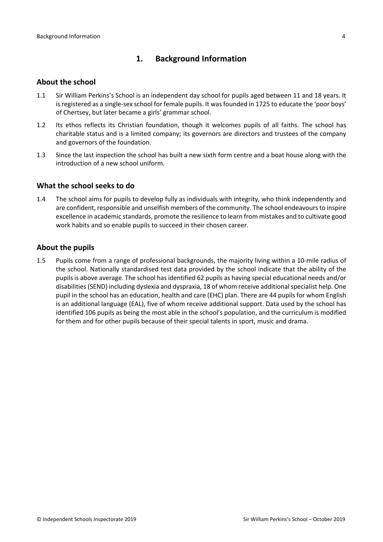# <span id="page-3-0"></span>**1. Background Information**

### <span id="page-3-1"></span>**About the school**

- 1.1 Sir William Perkins's School is an independent day school for pupils aged between 11 and 18 years. It is registered as a single-sex school for female pupils. It was founded in 1725 to educate the 'poor boys' of Chertsey, but later became a girls' grammar school.
- 1.2 Its ethos reflects its Christian foundation, though it welcomes pupils of all faiths. The school has charitable status and is a limited company; its governors are directors and trustees of the company and governors of the foundation.
- 1.3 Since the last inspection the school has built a new sixth form centre and a boat house along with the introduction of a new school uniform.

#### <span id="page-3-2"></span>**What the school seeks to do**

1.4 The school aims for pupils to develop fully as individuals with integrity, who think independently and are confident, responsible and unselfish members of the community. The school endeavoursto inspire excellence in academic standards, promote the resilience to learn from mistakes and to cultivate good work habits and so enable pupils to succeed in their chosen career.

## <span id="page-3-3"></span>**About the pupils**

1.5 Pupils come from a range of professional backgrounds, the majority living within a 10-mile radius of the school. Nationally standardised test data provided by the school indicate that the ability of the pupils is above average. The school has identified 62 pupils as having special educational needs and/or disabilities(SEND) including dyslexia and dyspraxia, 18 of whom receive additionalspecialist help. One pupil in the school has an education, health and care (EHC) plan. There are 44 pupils for whom English is an additional language (EAL), five of whom receive additional support. Data used by the school has identified 106 pupils as being the most able in the school's population, and the curriculum is modified for them and for other pupils because of their special talents in sport, music and drama.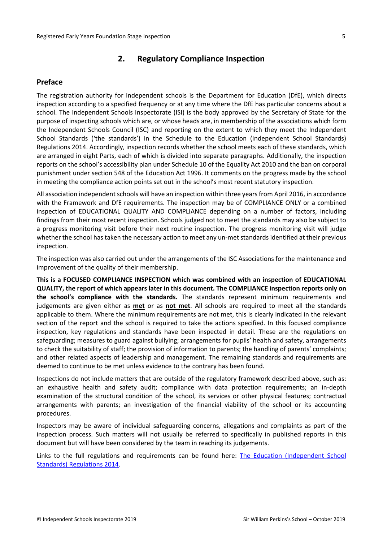# <span id="page-4-0"></span>**2. Regulatory Compliance Inspection**

### <span id="page-4-1"></span>**Preface**

The registration authority for independent schools is the Department for Education (DfE), which directs inspection according to a specified frequency or at any time where the DfE has particular concerns about a school. The Independent Schools Inspectorate (ISI) is the body approved by the Secretary of State for the purpose of inspecting schools which are, or whose heads are, in membership of the associations which form the Independent Schools Council (ISC) and reporting on the extent to which they meet the Independent School Standards ('the standards') in the Schedule to the Education (Independent School Standards) Regulations 2014. Accordingly, inspection records whether the school meets each of these standards, which are arranged in eight Parts, each of which is divided into separate paragraphs. Additionally, the inspection reports on the school's accessibility plan under Schedule 10 of the Equality Act 2010 and the ban on corporal punishment under section 548 of the Education Act 1996. It comments on the progress made by the school in meeting the compliance action points set out in the school's most recent statutory inspection.

All association independent schools will have an inspection within three yearsfrom April 2016, in accordance with the Framework and DfE requirements. The inspection may be of COMPLIANCE ONLY or a combined inspection of EDUCATIONAL QUALITY AND COMPLIANCE depending on a number of factors, including findings from their most recent inspection. Schools judged not to meet the standards may also be subject to a progress monitoring visit before their next routine inspection. The progress monitoring visit will judge whether the school has taken the necessary action to meet any un-met standards identified at their previous inspection.

The inspection was also carried out under the arrangements of the ISC Associations for the maintenance and improvement of the quality of their membership.

**This is a FOCUSED COMPLIANCE INSPECTION which was combined with an inspection of EDUCATIONAL QUALITY, the report of which appears later in this document. The COMPLIANCE inspection reports only on the school's compliance with the standards.** The standards represent minimum requirements and judgements are given either as **met** or as **not met**. All schools are required to meet all the standards applicable to them. Where the minimum requirements are not met, this is clearly indicated in the relevant section of the report and the school is required to take the actions specified. In this focused compliance inspection, key regulations and standards have been inspected in detail. These are the regulations on safeguarding; measures to guard against bullying; arrangements for pupils' health and safety, arrangements to check the suitability of staff; the provision of information to parents; the handling of parents' complaints; and other related aspects of leadership and management. The remaining standards and requirements are deemed to continue to be met unless evidence to the contrary has been found.

Inspections do not include matters that are outside of the regulatory framework described above, such as: an exhaustive health and safety audit; compliance with data protection requirements; an in-depth examination of the structural condition of the school, its services or other physical features; contractual arrangements with parents; an investigation of the financial viability of the school or its accounting procedures.

Inspectors may be aware of individual safeguarding concerns, allegations and complaints as part of the inspection process. Such matters will not usually be referred to specifically in published reports in this document but will have been considered by the team in reaching its judgements.

Links to the full regulations and requirements can be found here: The Education [\(Independent](http://www.legislation.gov.uk/uksi/2014/3283/contents/made) School Standards) [Regulations](http://www.legislation.gov.uk/uksi/2014/3283/contents/made) 2014.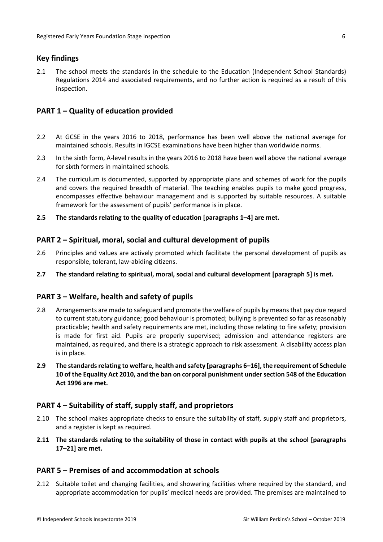# <span id="page-5-0"></span>**Key findings**

2.1 The school meets the standards in the schedule to the Education (Independent School Standards) Regulations 2014 and associated requirements, and no further action is required as a result of this inspection.

# <span id="page-5-1"></span>**PART 1 – Quality of education provided**

- 2.2 At GCSE in the years 2016 to 2018, performance has been well above the national average for maintained schools. Results in IGCSE examinations have been higher than worldwide norms.
- 2.3 In the sixth form, A-level results in the years 2016 to 2018 have been well above the national average for sixth formers in maintained schools.
- 2.4 The curriculum is documented, supported by appropriate plans and schemes of work for the pupils and covers the required breadth of material. The teaching enables pupils to make good progress, encompasses effective behaviour management and is supported by suitable resources. A suitable framework for the assessment of pupils' performance is in place.
- **2.5 The standards relating to the quality of education [paragraphs 1–4] are met.**

#### <span id="page-5-2"></span>**PART 2 – Spiritual, moral, social and cultural development of pupils**

- 2.6 Principles and values are actively promoted which facilitate the personal development of pupils as responsible, tolerant, law-abiding citizens.
- **2.7 The standard relating to spiritual, moral, social and cultural development [paragraph 5] is met.**

#### <span id="page-5-3"></span>**PART 3 – Welfare, health and safety of pupils**

- 2.8 Arrangements are made to safeguard and promote the welfare of pupils by means that pay due regard to current statutory guidance; good behaviour is promoted; bullying is prevented so far as reasonably practicable; health and safety requirements are met, including those relating to fire safety; provision is made for first aid. Pupils are properly supervised; admission and attendance registers are maintained, as required, and there is a strategic approach to risk assessment. A disability access plan is in place.
- **2.9 The standardsrelating to welfare, health and safety [paragraphs 6–16], the requirement of Schedule 10 of the Equality Act 2010, and the ban on corporal punishment undersection 548 of the Education Act 1996 are met.**

#### <span id="page-5-4"></span>**PART 4 – Suitability of staff, supply staff, and proprietors**

- 2.10 The school makes appropriate checks to ensure the suitability of staff, supply staff and proprietors, and a register is kept as required.
- **2.11 The standards relating to the suitability of those in contact with pupils at the school [paragraphs 17–21] are met.**

# <span id="page-5-5"></span>**PART 5 – Premises of and accommodation at schools**

2.12 Suitable toilet and changing facilities, and showering facilities where required by the standard, and appropriate accommodation for pupils' medical needs are provided. The premises are maintained to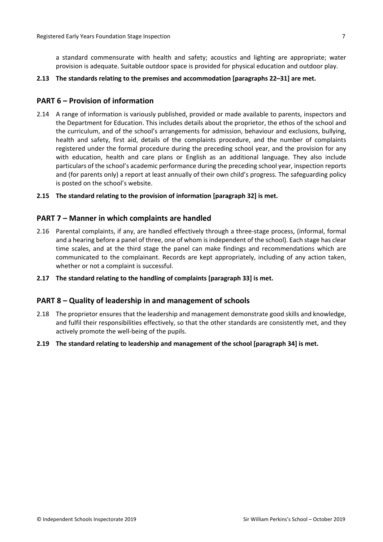a standard commensurate with health and safety; acoustics and lighting are appropriate; water provision is adequate. Suitable outdoor space is provided for physical education and outdoor play.

#### **2.13 The standards relating to the premises and accommodation [paragraphs 22–31] are met.**

## <span id="page-6-0"></span>**PART 6 – Provision of information**

2.14 A range of information is variously published, provided or made available to parents, inspectors and the Department for Education. This includes details about the proprietor, the ethos of the school and the curriculum, and of the school's arrangements for admission, behaviour and exclusions, bullying, health and safety, first aid, details of the complaints procedure, and the number of complaints registered under the formal procedure during the preceding school year, and the provision for any with education, health and care plans or English as an additional language. They also include particulars of the school's academic performance during the preceding school year, inspection reports and (for parents only) a report at least annually of their own child's progress. The safeguarding policy is posted on the school's website.

#### **2.15 The standard relating to the provision of information [paragraph 32] is met.**

#### <span id="page-6-1"></span>**PART 7 – Manner in which complaints are handled**

- 2.16 Parental complaints, if any, are handled effectively through a three-stage process, (informal, formal and a hearing before a panel of three, one of whom isindependent of the school). Each stage has clear time scales, and at the third stage the panel can make findings and recommendations which are communicated to the complainant. Records are kept appropriately, including of any action taken, whether or not a complaint is successful.
- **2.17 The standard relating to the handling of complaints [paragraph 33] is met.**

#### <span id="page-6-2"></span>**PART 8 – Quality of leadership in and management of schools**

- 2.18 The proprietor ensures that the leadership and management demonstrate good skills and knowledge, and fulfil their responsibilities effectively, so that the other standards are consistently met, and they actively promote the well-being of the pupils.
- **2.19 The standard relating to leadership and management of the school [paragraph 34] is met.**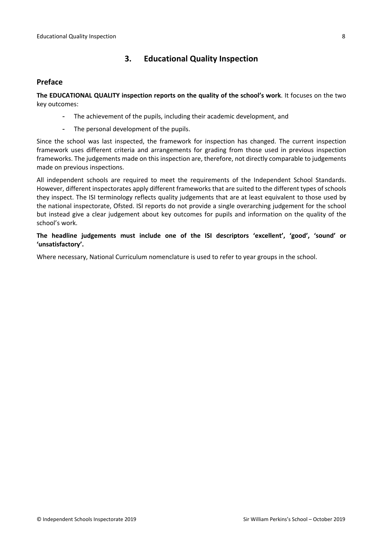# <span id="page-7-0"></span>**3. Educational Quality Inspection**

# <span id="page-7-1"></span>**Preface**

**The EDUCATIONAL QUALITY inspection reports on the quality of the school's work**. It focuses on the two key outcomes:

- The achievement of the pupils, including their academic development, and
- The personal development of the pupils.

Since the school was last inspected, the framework for inspection has changed. The current inspection framework uses different criteria and arrangements for grading from those used in previous inspection frameworks. The judgements made on this inspection are, therefore, not directly comparable to judgements made on previous inspections.

All independent schools are required to meet the requirements of the Independent School Standards. However, different inspectorates apply different frameworks that are suited to the different types of schools they inspect. The ISI terminology reflects quality judgements that are at least equivalent to those used by the national inspectorate, Ofsted. ISI reports do not provide a single overarching judgement for the school but instead give a clear judgement about key outcomes for pupils and information on the quality of the school's work.

**The headline judgements must include one of the ISI descriptors 'excellent', 'good', 'sound' or 'unsatisfactory'.**

Where necessary, National Curriculum nomenclature is used to refer to year groups in the school.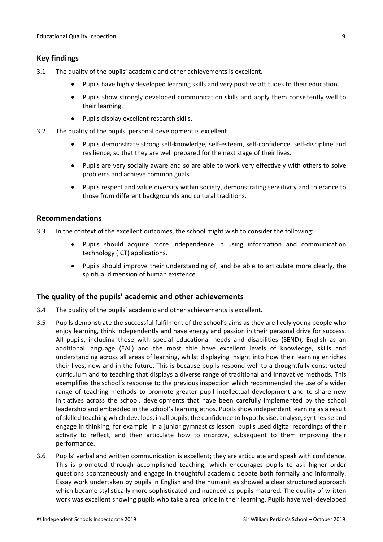# <span id="page-8-0"></span>**Key findings**

- 3.1 The quality of the pupils' academic and other achievements is excellent.
	- Pupils have highly developed learning skills and very positive attitudes to their education.
	- Pupils show strongly developed communication skills and apply them consistently well to their learning.
	- Pupils display excellent research skills.
- 3.2 The quality of the pupils' personal development is excellent.
	- Pupils demonstrate strong self-knowledge, self-esteem, self-confidence, self-discipline and resilience, so that they are well prepared for the next stage of their lives.
	- Pupils are very socially aware and so are able to work very effectively with others to solve problems and achieve common goals.
	- Pupils respect and value diversity within society, demonstrating sensitivity and tolerance to those from different backgrounds and cultural traditions.

## <span id="page-8-1"></span>**Recommendations**

- 3.3 In the context of the excellent outcomes, the school might wish to consider the following:
	- Pupils should acquire more independence in using information and communication technology (ICT) applications.
	- Pupils should improve their understanding of, and be able to articulate more clearly, the spiritual dimension of human existence.

# <span id="page-8-2"></span>**The quality of the pupils' academic and other achievements**

- 3.4 The quality of the pupils' academic and other achievements is excellent.
- 3.5 Pupils demonstrate the successful fulfilment of the school's aims as they are lively young people who enjoy learning, think independently and have energy and passion in their personal drive for success. All pupils, including those with special educational needs and disabilities (SEND), English as an additional language (EAL) and the most able have excellent levels of knowledge, skills and understanding across all areas of learning, whilst displaying insight into how their learning enriches their lives, now and in the future. This is because pupils respond well to a thoughtfully constructed curriculum and to teaching that displays a diverse range of traditional and innovative methods. This exemplifies the school's response to the previous inspection which recommended the use of a wider range of teaching methods to promote greater pupil intellectual development and to share new initiatives across the school, developments that have been carefully implemented by the school leadership and embedded in the school's learning ethos. Pupils show independent learning as a result of skilled teaching which develops, in all pupils, the confidence to hypothesise, analyse, synthesise and engage in thinking; for example in a junior gymnastics lesson pupils used digital recordings of their activity to reflect, and then articulate how to improve, subsequent to them improving their performance.
- 3.6 Pupils' verbal and written communication is excellent; they are articulate and speak with confidence. This is promoted through accomplished teaching, which encourages pupils to ask higher order questions spontaneously and engage in thoughtful academic debate both formally and informally. Essay work undertaken by pupils in English and the humanities showed a clear structured approach which became stylistically more sophisticated and nuanced as pupils matured. The quality of written work was excellent showing pupils who take a real pride in their learning. Pupils have well-developed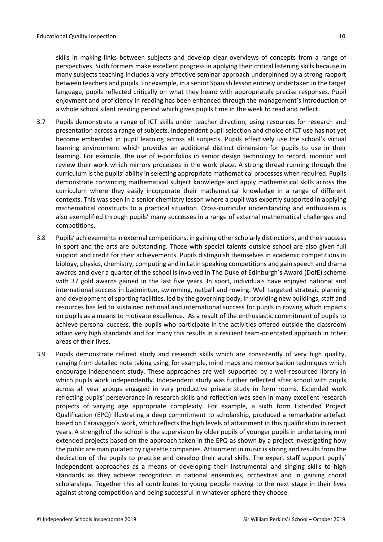skills in making links between subjects and develop clear overviews of concepts from a range of perspectives. Sixth formers make excellent progress in applying their critical listening skills because in many subjects teaching includes a very effective seminar approach underpinned by a strong rapport between teachers and pupils. For example, in a senior Spanish lesson entirely undertaken in the target language, pupils reflected critically on what they heard with appropriately precise responses. Pupil enjoyment and proficiency in reading has been enhanced through the management's introduction of a whole school silent reading period which gives pupils time in the week to read and reflect.

- 3.7 Pupils demonstrate a range of ICT skills under teacher direction, using resources for research and presentation across a range of subjects. Independent pupil selection and choice of ICT use has not yet become embedded in pupil learning across all subjects. Pupils effectively use the school's virtual learning environment which provides an additional distinct dimension for pupils to use in their learning. For example, the use of e-portfolios in senior design technology to record, monitor and review their work which mirrors processes in the work place. A strong thread running through the curriculum isthe pupils' ability in selecting appropriate mathematical processes when required. Pupils demonstrate convincing mathematical subject knowledge and apply mathematical skills across the curriculum where they easily incorporate their mathematical knowledge in a range of different contexts. This was seen in a senior chemistry lesson where a pupil was expertly supported in applying mathematical constructs to a practical situation. Cross-curricular understanding and enthusiasm is also exemplified through pupils' many successes in a range of external mathematical challenges and competitions.
- 3.8 Pupils' achievementsin external competitions, in gaining otherscholarly distinctions, and theirsuccess in sport and the arts are outstanding. Those with special talents outside school are also given full support and credit for their achievements. Pupils distinguish themselves in academic competitions in biology, physics, chemistry, computing and in Latin speaking competitions and gain speech and drama awards and over a quarter of the school is involved in The Duke of Edinburgh's Award (DofE) scheme with 37 gold awards gained in the last five years. In sport, individuals have enjoyed national and international success in badminton, swimming, netball and rowing. Well targeted strategic planning and development of sporting facilities, led by the governing body, in providing new buildings, staff and resources has led to sustained national and international success for pupils in rowing which impacts on pupils as a means to motivate excellence. As a result of the enthusiastic commitment of pupils to achieve personal success, the pupils who participate in the activities offered outside the classroom attain very high standards and for many this results in a resilient team-orientated approach in other areas of their lives.
- 3.9 Pupils demonstrate refined study and research skills which are consistently of very high quality, ranging from detailed note taking using, for example, mind maps and memorisation techniques which encourage independent study. These approaches are well supported by a well-resourced library in which pupils work independently. Independent study was further reflected after school with pupils across all year groups engaged in very productive private study in form rooms. Extended work reflecting pupils' perseverance in research skills and reflection was seen in many excellent research projects of varying age appropriate complexity. For example, a sixth form Extended Project Qualification (EPQ) illustrating a deep commitment to scholarship, produced a remarkable artefact based on Caravaggio's work, which reflects the high levels of attainment in this qualification in recent years. A strength of the school is the supervision by older pupils of younger pupils in undertaking mini extended projects based on the approach taken in the EPQ as shown by a project investigating how the public are manipulated by cigarette companies. Attainment in music is strong and results from the dedication of the pupils to practise and develop their aural skills. The expert staff support pupils' independent approaches as a means of developing their instrumental and singing skills to high standards as they achieve recognition in national ensembles, orchestras and in gaining choral scholarships. Together this all contributes to young people moving to the next stage in their lives against strong competition and being successful in whatever sphere they choose.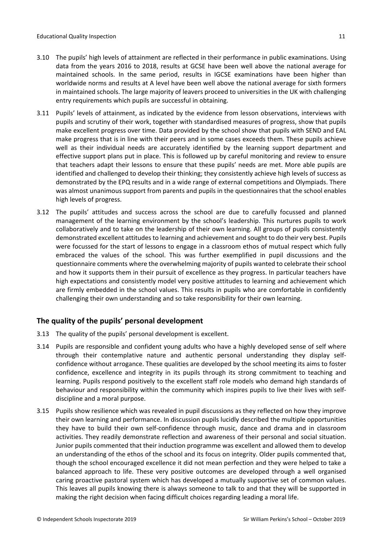- 3.10 The pupils' high levels of attainment are reflected in their performance in public examinations. Using data from the years 2016 to 2018, results at GCSE have been well above the national average for maintained schools. In the same period, results in IGCSE examinations have been higher than worldwide norms and results at A level have been well above the national average for sixth formers in maintained schools. The large majority of leavers proceed to universities in the UK with challenging entry requirements which pupils are successful in obtaining.
- 3.11 Pupils' levels of attainment, as indicated by the evidence from lesson observations, interviews with pupils and scrutiny of their work, together with standardised measures of progress, show that pupils make excellent progress over time. Data provided by the school show that pupils with SEND and EAL make progress that is in line with their peers and in some cases exceeds them. These pupils achieve well as their individual needs are accurately identified by the learning support department and effective support plans put in place. This is followed up by careful monitoring and review to ensure that teachers adapt their lessons to ensure that these pupils' needs are met. More able pupils are identified and challenged to develop their thinking; they consistently achieve high levels of success as demonstrated by the EPQ results and in a wide range of external competitions and Olympiads. There was almost unanimous support from parents and pupils in the questionnaires that the school enables high levels of progress.
- 3.12 The pupils' attitudes and success across the school are due to carefully focussed and planned management of the learning environment by the school's leadership. This nurtures pupils to work collaboratively and to take on the leadership of their own learning. All groups of pupils consistently demonstrated excellent attitudesto learning and achievement and sought to do their very best. Pupils were focussed for the start of lessons to engage in a classroom ethos of mutual respect which fully embraced the values of the school. This was further exemplified in pupil discussions and the questionnaire comments where the overwhelming majority of pupils wanted to celebrate their school and how it supports them in their pursuit of excellence as they progress. In particular teachers have high expectations and consistently model very positive attitudes to learning and achievement which are firmly embedded in the school values. This results in pupils who are comfortable in confidently challenging their own understanding and so take responsibility for their own learning.

# <span id="page-10-0"></span>**The quality of the pupils' personal development**

- 3.13 The quality of the pupils' personal development is excellent.
- 3.14 Pupils are responsible and confident young adults who have a highly developed sense of self where through their contemplative nature and authentic personal understanding they display selfconfidence without arrogance. These qualities are developed by the school meeting its aims to foster confidence, excellence and integrity in its pupils through its strong commitment to teaching and learning. Pupils respond positively to the excellent staff role models who demand high standards of behaviour and responsibility within the community which inspires pupils to live their lives with selfdiscipline and a moral purpose.
- 3.15 Pupils show resilience which was revealed in pupil discussions as they reflected on how they improve their own learning and performance. In discussion pupils lucidly described the multiple opportunities they have to build their own self-confidence through music, dance and drama and in classroom activities. They readily demonstrate reflection and awareness of their personal and social situation. Junior pupils commented that their induction programme was excellent and allowed them to develop an understanding of the ethos of the school and its focus on integrity. Older pupils commented that, though the school encouraged excellence it did not mean perfection and they were helped to take a balanced approach to life. These very positive outcomes are developed through a well organised caring proactive pastoral system which has developed a mutually supportive set of common values. This leaves all pupils knowing there is always someone to talk to and that they will be supported in making the right decision when facing difficult choices regarding leading a moral life.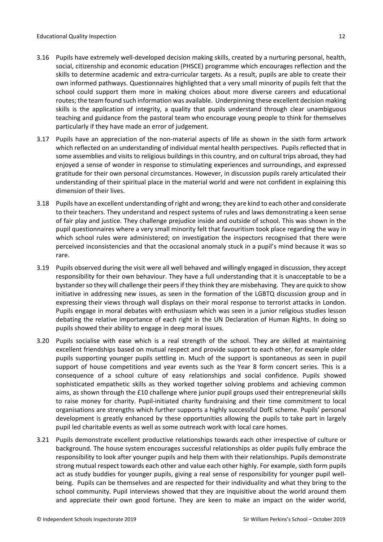- 3.16 Pupils have extremely well-developed decision making skills, created by a nurturing personal, health, social, citizenship and economic education (PHSCE) programme which encourages reflection and the skills to determine academic and extra-curricular targets. As a result, pupils are able to create their own informed pathways. Questionnaires highlighted that a very small minority of pupils felt that the school could support them more in making choices about more diverse careers and educational routes; the team found such information was available. Underpinning these excellent decision making skills is the application of integrity, a quality that pupils understand through clear unambiguous teaching and guidance from the pastoral team who encourage young people to think for themselves particularly if they have made an error of judgement.
- 3.17 Pupils have an appreciation of the non-material aspects of life as shown in the sixth form artwork which reflected on an understanding of individual mental health perspectives. Pupils reflected that in some assemblies and visits to religious buildings in this country, and on cultural trips abroad, they had enjoyed a sense of wonder in response to stimulating experiences and surroundings, and expressed gratitude for their own personal circumstances. However, in discussion pupils rarely articulated their understanding of their spiritual place in the material world and were not confident in explaining this dimension of their lives.
- 3.18 Pupils have an excellent understanding ofright and wrong; they are kind to each other and considerate to their teachers. They understand and respect systems of rules and laws demonstrating a keen sense of fair play and justice. They challenge prejudice inside and outside of school. This was shown in the pupil questionnaires where a very small minority felt that favouritism took place regarding the way in which school rules were administered; on investigation the inspectors recognised that there were perceived inconsistencies and that the occasional anomaly stuck in a pupil's mind because it was so rare.
- 3.19 Pupils observed during the visit were all well behaved and willingly engaged in discussion, they accept responsibility for their own behaviour. They have a full understanding that it is unacceptable to be a bystander so they will challenge their peers if they think they are misbehaving. They are quick to show initiative in addressing new issues, as seen in the formation of the LGBTQ discussion group and in expressing their views through wall displays on their moral response to terrorist attacks in London. Pupils engage in moral debates with enthusiasm which was seen in a junior religious studies lesson debating the relative importance of each right in the UN Declaration of Human Rights. In doing so pupils showed their ability to engage in deep moral issues.
- 3.20 Pupils socialise with ease which is a real strength of the school. They are skilled at maintaining excellent friendships based on mutual respect and provide support to each other, for example older pupils supporting younger pupils settling in. Much of the support is spontaneous as seen in pupil support of house competitions and year events such as the Year 8 form concert series. This is a consequence of a school culture of easy relationships and social confidence. Pupils showed sophisticated empathetic skills as they worked together solving problems and achieving common aims, as shown through the £10 challenge where junior pupil groups used their entrepreneurial skills to raise money for charity. Pupil-initiated charity fundraising and their time commitment to local organisations are strengths which further supports a highly successful DofE scheme. Pupils' personal development is greatly enhanced by these opportunities allowing the pupils to take part in largely pupil led charitable events as well as some outreach work with local care homes.
- 3.21 Pupils demonstrate excellent productive relationships towards each other irrespective of culture or background. The house system encourages successful relationships as older pupils fully embrace the responsibility to look after younger pupils and help them with their relationships. Pupils demonstrate strong mutual respect towards each other and value each other highly. For example, sixth form pupils act as study buddies for younger pupils, giving a real sense of responsibility for younger pupil wellbeing. Pupils can be themselves and are respected for their individuality and what they bring to the school community. Pupil interviews showed that they are inquisitive about the world around them and appreciate their own good fortune. They are keen to make an impact on the wider world,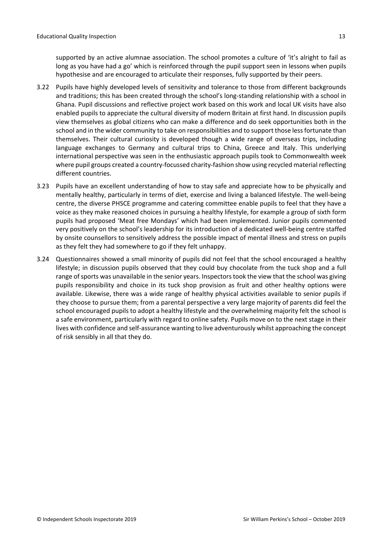supported by an active alumnae association. The school promotes a culture of 'it's alright to fail as long as you have had a go' which is reinforced through the pupil support seen in lessons when pupils hypothesise and are encouraged to articulate their responses, fully supported by their peers.

- 3.22 Pupils have highly developed levels of sensitivity and tolerance to those from different backgrounds and traditions; this has been created through the school's long-standing relationship with a school in Ghana. Pupil discussions and reflective project work based on this work and local UK visits have also enabled pupils to appreciate the cultural diversity of modern Britain at first hand. In discussion pupils view themselves as global citizens who can make a difference and do seek opportunities both in the school and in the wider community to take on responsibilities and to support those less fortunate than themselves. Their cultural curiosity is developed though a wide range of overseas trips, including language exchanges to Germany and cultural trips to China, Greece and Italy. This underlying international perspective was seen in the enthusiastic approach pupils took to Commonwealth week where pupil groups created a country-focussed charity-fashion show using recycled material reflecting different countries.
- 3.23 Pupils have an excellent understanding of how to stay safe and appreciate how to be physically and mentally healthy, particularly in terms of diet, exercise and living a balanced lifestyle. The well-being centre, the diverse PHSCE programme and catering committee enable pupils to feel that they have a voice as they make reasoned choices in pursuing a healthy lifestyle, for example a group of sixth form pupils had proposed 'Meat free Mondays' which had been implemented. Junior pupils commented very positively on the school's leadership for its introduction of a dedicated well-being centre staffed by onsite counsellors to sensitively address the possible impact of mental illness and stress on pupils as they felt they had somewhere to go if they felt unhappy.
- 3.24 Questionnaires showed a small minority of pupils did not feel that the school encouraged a healthy lifestyle; in discussion pupils observed that they could buy chocolate from the tuck shop and a full range of sports was unavailable in the senior years. Inspectors took the view that the school was giving pupils responsibility and choice in its tuck shop provision as fruit and other healthy options were available. Likewise, there was a wide range of healthy physical activities available to senior pupils if they choose to pursue them; from a parental perspective a very large majority of parents did feel the school encouraged pupils to adopt a healthy lifestyle and the overwhelming majority felt the school is a safe environment, particularly with regard to online safety. Pupils move on to the next stage in their lives with confidence and self-assurance wanting to live adventurously whilst approaching the concept of risk sensibly in all that they do.